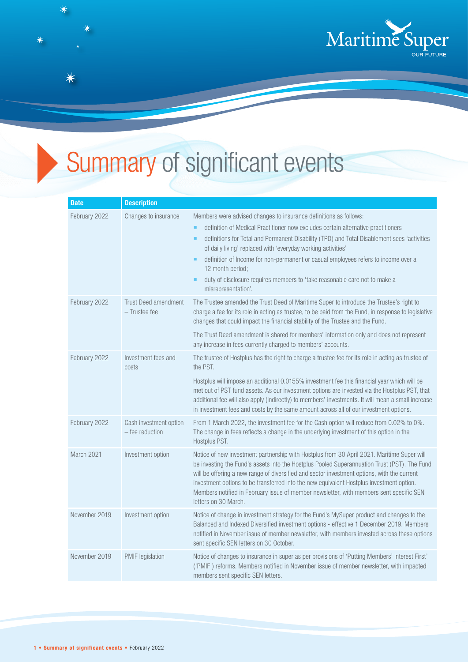

## Summary of significant events

| <b>Date</b>   | <b>Description</b>                           |                                                                                                                                                                                                                                                                                                                                                                                                                                                                                                                                                          |
|---------------|----------------------------------------------|----------------------------------------------------------------------------------------------------------------------------------------------------------------------------------------------------------------------------------------------------------------------------------------------------------------------------------------------------------------------------------------------------------------------------------------------------------------------------------------------------------------------------------------------------------|
| February 2022 | Changes to insurance                         | Members were advised changes to insurance definitions as follows:<br>definition of Medical Practitioner now excludes certain alternative practitioners<br>٠<br>definitions for Total and Permanent Disability (TPD) and Total Disablement sees 'activities<br>٠<br>of daily living' replaced with 'everyday working activities'<br>definition of Income for non-permanent or casual employees refers to income over a<br>٠<br>12 month period;<br>duty of disclosure requires members to 'take reasonable care not to make a<br>٠<br>misrepresentation'. |
| February 2022 | <b>Trust Deed amendment</b><br>- Trustee fee | The Trustee amended the Trust Deed of Maritime Super to introduce the Trustee's right to<br>charge a fee for its role in acting as trustee, to be paid from the Fund, in response to legislative<br>changes that could impact the financial stability of the Trustee and the Fund.<br>The Trust Deed amendment is shared for members' information only and does not represent<br>any increase in fees currently charged to members' accounts.                                                                                                            |
| February 2022 | Investment fees and<br>costs                 | The trustee of Hostplus has the right to charge a trustee fee for its role in acting as trustee of<br>the PST.<br>Hostplus will impose an additional 0.0155% investment fee this financial year which will be<br>met out of PST fund assets. As our investment options are invested via the Hostplus PST, that<br>additional fee will also apply (indirectly) to members' investments. It will mean a small increase<br>in investment fees and costs by the same amount across all of our investment options.                                            |
| February 2022 | Cash investment option<br>$-$ fee reduction  | From 1 March 2022, the investment fee for the Cash option will reduce from 0.02% to 0%.<br>The change in fees reflects a change in the underlying investment of this option in the<br>Hostplus PST.                                                                                                                                                                                                                                                                                                                                                      |
| March 2021    | Investment option                            | Notice of new investment partnership with Hostplus from 30 April 2021. Maritime Super will<br>be investing the Fund's assets into the Hostplus Pooled Superannuation Trust (PST). The Fund<br>will be offering a new range of diversified and sector investment options, with the current<br>investment options to be transferred into the new equivalent Hostplus investment option.<br>Members notified in February issue of member newsletter, with members sent specific SEN<br>letters on 30 March.                                                 |
| November 2019 | Investment option                            | Notice of change in investment strategy for the Fund's MySuper product and changes to the<br>Balanced and Indexed Diversified investment options - effective 1 December 2019. Members<br>notified in November issue of member newsletter, with members invested across these options<br>sent specific SEN letters on 30 October.                                                                                                                                                                                                                         |
| November 2019 | PMIF legislation                             | Notice of changes to insurance in super as per provisions of 'Putting Members' Interest First'<br>('PMIF') reforms. Members notified in November issue of member newsletter, with impacted<br>members sent specific SEN letters.                                                                                                                                                                                                                                                                                                                         |

 $\overline{\textbf{X}}$